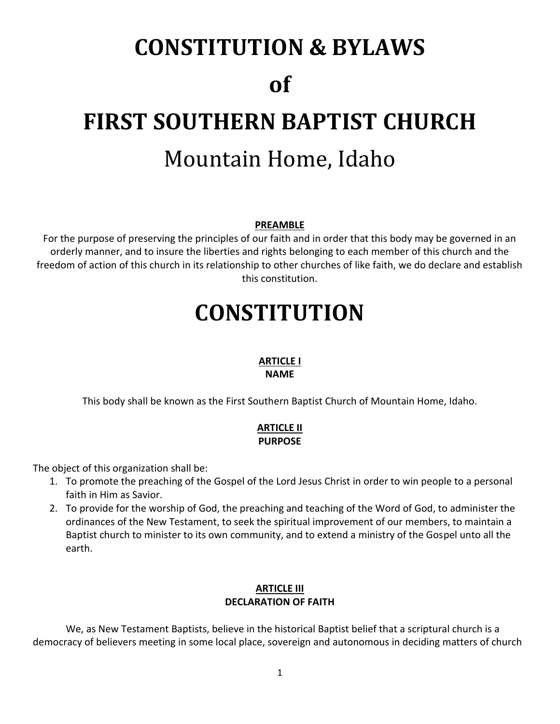# **CONSTITUTION & BYLAWS of FIRST SOUTHERN BAPTIST CHURCH** Mountain Home, Idaho

#### **PREAMBLE**

For the purpose of preserving the principles of our faith and in order that this body may be governed in an orderly manner, and to insure the liberties and rights belonging to each member of this church and the freedom of action of this church in its relationship to other churches of like faith, we do declare and establish this constitution.

# **CONSTITUTION**

# **ARTICLE I**

#### **NAME**

This body shall be known as the First Southern Baptist Church of Mountain Home, Idaho.

# **ARTICLE II PURPOSE**

The object of this organization shall be:

- 1. To promote the preaching of the Gospel of the Lord Jesus Christ in order to win people to a personal faith in Him as Savior.
- 2. To provide for the worship of God, the preaching and teaching of the Word of God, to administer the ordinances of the New Testament, to seek the spiritual improvement of our members, to maintain a Baptist church to minister to its own community, and to extend a ministry of the Gospel unto all the earth.

# **ARTICLE III DECLARATION OF FAITH**

We, as New Testament Baptists, believe in the historical Baptist belief that a scriptural church is a democracy of believers meeting in some local place, sovereign and autonomous in deciding matters of church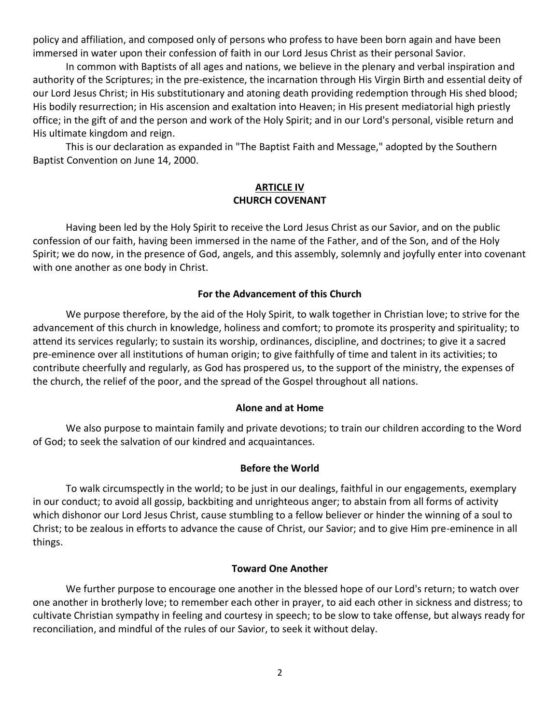policy and affiliation, and composed only of persons who profess to have been born again and have been immersed in water upon their confession of faith in our Lord Jesus Christ as their personal Savior.

In common with Baptists of all ages and nations, we believe in the plenary and verbal inspiration and authority of the Scriptures; in the pre-existence, the incarnation through His Virgin Birth and essential deity of our Lord Jesus Christ; in His substitutionary and atoning death providing redemption through His shed blood; His bodily resurrection; in His ascension and exaltation into Heaven; in His present mediatorial high priestly office; in the gift of and the person and work of the Holy Spirit; and in our Lord's personal, visible return and His ultimate kingdom and reign.

This is our declaration as expanded in "The Baptist Faith and Message," adopted by the Southern Baptist Convention on June 14, 2000.

#### **ARTICLE IV CHURCH COVENANT**

Having been led by the Holy Spirit to receive the Lord Jesus Christ as our Savior, and on the public confession of our faith, having been immersed in the name of the Father, and of the Son, and of the Holy Spirit; we do now, in the presence of God, angels, and this assembly, solemnly and joyfully enter into covenant with one another as one body in Christ.

# **For the Advancement of this Church**

We purpose therefore, by the aid of the Holy Spirit, to walk together in Christian love; to strive for the advancement of this church in knowledge, holiness and comfort; to promote its prosperity and spirituality; to attend its services regularly; to sustain its worship, ordinances, discipline, and doctrines; to give it a sacred pre-eminence over all institutions of human origin; to give faithfully of time and talent in its activities; to contribute cheerfully and regularly, as God has prospered us, to the support of the ministry, the expenses of the church, the relief of the poor, and the spread of the Gospel throughout all nations.

#### **Alone and at Home**

We also purpose to maintain family and private devotions; to train our children according to the Word of God; to seek the salvation of our kindred and acquaintances.

# **Before the World**

To walk circumspectly in the world; to be just in our dealings, faithful in our engagements, exemplary in our conduct; to avoid all gossip, backbiting and unrighteous anger; to abstain from all forms of activity which dishonor our Lord Jesus Christ, cause stumbling to a fellow believer or hinder the winning of a soul to Christ; to be zealous in efforts to advance the cause of Christ, our Savior; and to give Him pre-eminence in all things.

#### **Toward One Another**

We further purpose to encourage one another in the blessed hope of our Lord's return; to watch over one another in brotherly love; to remember each other in prayer, to aid each other in sickness and distress; to cultivate Christian sympathy in feeling and courtesy in speech; to be slow to take offense, but always ready for reconciliation, and mindful of the rules of our Savior, to seek it without delay.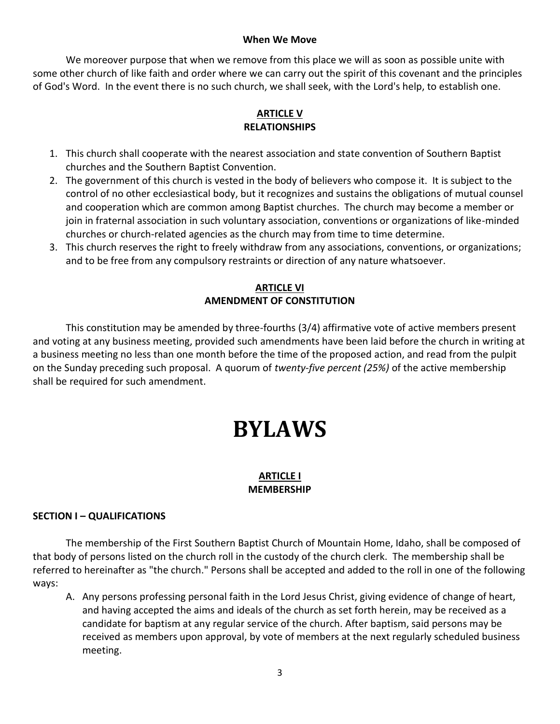#### **When We Move**

We moreover purpose that when we remove from this place we will as soon as possible unite with some other church of like faith and order where we can carry out the spirit of this covenant and the principles of God's Word. In the event there is no such church, we shall seek, with the Lord's help, to establish one.

# **ARTICLE V RELATIONSHIPS**

- 1. This church shall cooperate with the nearest association and state convention of Southern Baptist churches and the Southern Baptist Convention.
- 2. The government of this church is vested in the body of believers who compose it. It is subject to the control of no other ecclesiastical body, but it recognizes and sustains the obligations of mutual counsel and cooperation which are common among Baptist churches. The church may become a member or join in fraternal association in such voluntary association, conventions or organizations of like-minded churches or church-related agencies as the church may from time to time determine.
- 3. This church reserves the right to freely withdraw from any associations, conventions, or organizations; and to be free from any compulsory restraints or direction of any nature whatsoever.

# **ARTICLE VI AMENDMENT OF CONSTITUTION**

This constitution may be amended by three-fourths (3/4) affirmative vote of active members present and voting at any business meeting, provided such amendments have been laid before the church in writing at a business meeting no less than one month before the time of the proposed action, and read from the pulpit on the Sunday preceding such proposal. A quorum of *twenty-five percent (25%)* of the active membership shall be required for such amendment.

# **BYLAWS**

# **ARTICLE I MEMBERSHIP**

# **SECTION I – QUALIFICATIONS**

The membership of the First Southern Baptist Church of Mountain Home, Idaho, shall be composed of that body of persons listed on the church roll in the custody of the church clerk. The membership shall be referred to hereinafter as "the church." Persons shall be accepted and added to the roll in one of the following ways:

A. Any persons professing personal faith in the Lord Jesus Christ, giving evidence of change of heart, and having accepted the aims and ideals of the church as set forth herein, may be received as a candidate for baptism at any regular service of the church. After baptism, said persons may be received as members upon approval, by vote of members at the next regularly scheduled business meeting.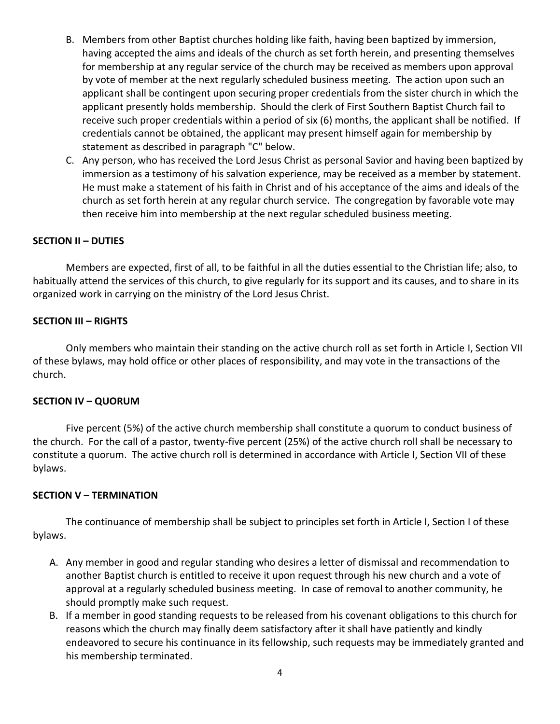- B. Members from other Baptist churches holding like faith, having been baptized by immersion, having accepted the aims and ideals of the church as set forth herein, and presenting themselves for membership at any regular service of the church may be received as members upon approval by vote of member at the next regularly scheduled business meeting. The action upon such an applicant shall be contingent upon securing proper credentials from the sister church in which the applicant presently holds membership. Should the clerk of First Southern Baptist Church fail to receive such proper credentials within a period of six (6) months, the applicant shall be notified. If credentials cannot be obtained, the applicant may present himself again for membership by statement as described in paragraph "C" below.
- C. Any person, who has received the Lord Jesus Christ as personal Savior and having been baptized by immersion as a testimony of his salvation experience, may be received as a member by statement. He must make a statement of his faith in Christ and of his acceptance of the aims and ideals of the church as set forth herein at any regular church service. The congregation by favorable vote may then receive him into membership at the next regular scheduled business meeting.

# **SECTION II – DUTIES**

Members are expected, first of all, to be faithful in all the duties essential to the Christian life; also, to habitually attend the services of this church, to give regularly for its support and its causes, and to share in its organized work in carrying on the ministry of the Lord Jesus Christ.

# **SECTION III – RIGHTS**

Only members who maintain their standing on the active church roll as set forth in Article I, Section VII of these bylaws, may hold office or other places of responsibility, and may vote in the transactions of the church.

# **SECTION IV – QUORUM**

Five percent (5%) of the active church membership shall constitute a quorum to conduct business of the church. For the call of a pastor, twenty-five percent (25%) of the active church roll shall be necessary to constitute a quorum. The active church roll is determined in accordance with Article I, Section VII of these bylaws.

# **SECTION V – TERMINATION**

The continuance of membership shall be subject to principles set forth in Article I, Section I of these bylaws.

- A. Any member in good and regular standing who desires a letter of dismissal and recommendation to another Baptist church is entitled to receive it upon request through his new church and a vote of approval at a regularly scheduled business meeting. In case of removal to another community, he should promptly make such request.
- B. If a member in good standing requests to be released from his covenant obligations to this church for reasons which the church may finally deem satisfactory after it shall have patiently and kindly endeavored to secure his continuance in its fellowship, such requests may be immediately granted and his membership terminated.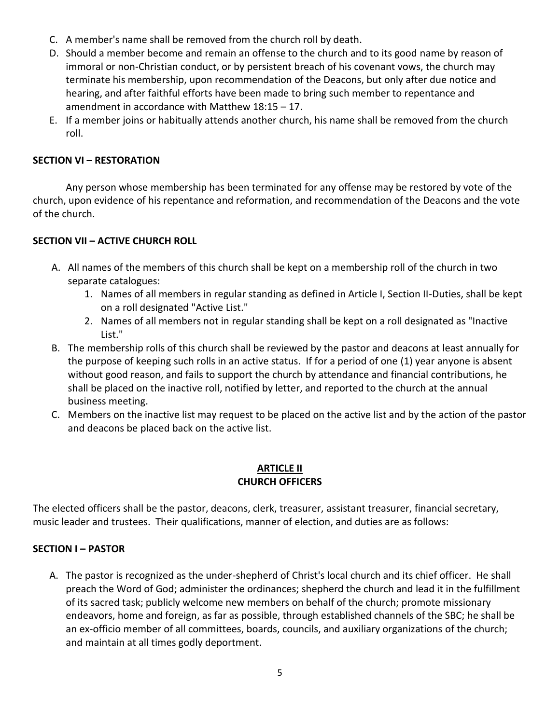- C. A member's name shall be removed from the church roll by death.
- D. Should a member become and remain an offense to the church and to its good name by reason of immoral or non-Christian conduct, or by persistent breach of his covenant vows, the church may terminate his membership, upon recommendation of the Deacons, but only after due notice and hearing, and after faithful efforts have been made to bring such member to repentance and amendment in accordance with Matthew 18:15 – 17.
- E. If a member joins or habitually attends another church, his name shall be removed from the church roll.

# **SECTION VI – RESTORATION**

Any person whose membership has been terminated for any offense may be restored by vote of the church, upon evidence of his repentance and reformation, and recommendation of the Deacons and the vote of the church.

# **SECTION VII – ACTIVE CHURCH ROLL**

- A. All names of the members of this church shall be kept on a membership roll of the church in two separate catalogues:
	- 1. Names of all members in regular standing as defined in Article I, Section II-Duties, shall be kept on a roll designated "Active List."
	- 2. Names of all members not in regular standing shall be kept on a roll designated as "Inactive List."
- B. The membership rolls of this church shall be reviewed by the pastor and deacons at least annually for the purpose of keeping such rolls in an active status. If for a period of one (1) year anyone is absent without good reason, and fails to support the church by attendance and financial contributions, he shall be placed on the inactive roll, notified by letter, and reported to the church at the annual business meeting.
- C. Members on the inactive list may request to be placed on the active list and by the action of the pastor and deacons be placed back on the active list.

# **ARTICLE II CHURCH OFFICERS**

The elected officers shall be the pastor, deacons, clerk, treasurer, assistant treasurer, financial secretary, music leader and trustees. Their qualifications, manner of election, and duties are as follows:

# **SECTION I – PASTOR**

A. The pastor is recognized as the under-shepherd of Christ's local church and its chief officer. He shall preach the Word of God; administer the ordinances; shepherd the church and lead it in the fulfillment of its sacred task; publicly welcome new members on behalf of the church; promote missionary endeavors, home and foreign, as far as possible, through established channels of the SBC; he shall be an ex-officio member of all committees, boards, councils, and auxiliary organizations of the church; and maintain at all times godly deportment.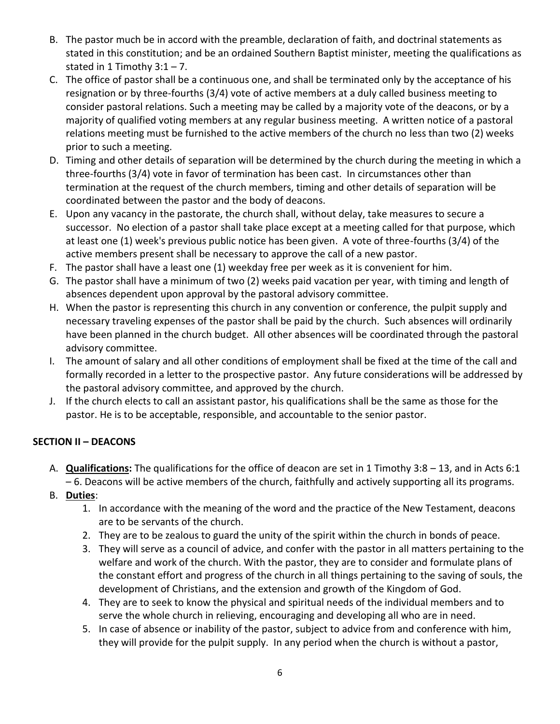- B. The pastor much be in accord with the preamble, declaration of faith, and doctrinal statements as stated in this constitution; and be an ordained Southern Baptist minister, meeting the qualifications as stated in 1 Timothy  $3:1 - 7$ .
- C. The office of pastor shall be a continuous one, and shall be terminated only by the acceptance of his resignation or by three-fourths (3/4) vote of active members at a duly called business meeting to consider pastoral relations. Such a meeting may be called by a majority vote of the deacons, or by a majority of qualified voting members at any regular business meeting. A written notice of a pastoral relations meeting must be furnished to the active members of the church no less than two (2) weeks prior to such a meeting.
- D. Timing and other details of separation will be determined by the church during the meeting in which a three-fourths (3/4) vote in favor of termination has been cast. In circumstances other than termination at the request of the church members, timing and other details of separation will be coordinated between the pastor and the body of deacons.
- E. Upon any vacancy in the pastorate, the church shall, without delay, take measures to secure a successor. No election of a pastor shall take place except at a meeting called for that purpose, which at least one (1) week's previous public notice has been given. A vote of three-fourths (3/4) of the active members present shall be necessary to approve the call of a new pastor.
- F. The pastor shall have a least one (1) weekday free per week as it is convenient for him.
- G. The pastor shall have a minimum of two (2) weeks paid vacation per year, with timing and length of absences dependent upon approval by the pastoral advisory committee.
- H. When the pastor is representing this church in any convention or conference, the pulpit supply and necessary traveling expenses of the pastor shall be paid by the church. Such absences will ordinarily have been planned in the church budget. All other absences will be coordinated through the pastoral advisory committee.
- I. The amount of salary and all other conditions of employment shall be fixed at the time of the call and formally recorded in a letter to the prospective pastor. Any future considerations will be addressed by the pastoral advisory committee, and approved by the church.
- J. If the church elects to call an assistant pastor, his qualifications shall be the same as those for the pastor. He is to be acceptable, responsible, and accountable to the senior pastor.

# **SECTION II – DEACONS**

- A. **Qualifications:** The qualifications for the office of deacon are set in 1 Timothy 3:8 13, and in Acts 6:1 – 6. Deacons will be active members of the church, faithfully and actively supporting all its programs.
- B. **Duties**:
	- 1. In accordance with the meaning of the word and the practice of the New Testament, deacons are to be servants of the church.
	- 2. They are to be zealous to guard the unity of the spirit within the church in bonds of peace.
	- 3. They will serve as a council of advice, and confer with the pastor in all matters pertaining to the welfare and work of the church. With the pastor, they are to consider and formulate plans of the constant effort and progress of the church in all things pertaining to the saving of souls, the development of Christians, and the extension and growth of the Kingdom of God.
	- 4. They are to seek to know the physical and spiritual needs of the individual members and to serve the whole church in relieving, encouraging and developing all who are in need.
	- 5. In case of absence or inability of the pastor, subject to advice from and conference with him, they will provide for the pulpit supply. In any period when the church is without a pastor,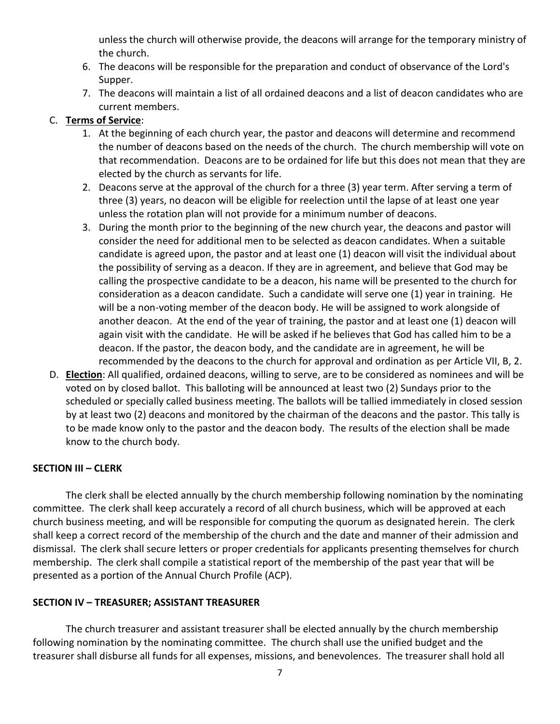unless the church will otherwise provide, the deacons will arrange for the temporary ministry of the church.

- 6. The deacons will be responsible for the preparation and conduct of observance of the Lord's Supper.
- 7. The deacons will maintain a list of all ordained deacons and a list of deacon candidates who are current members.

# C. **Terms of Service**:

- 1. At the beginning of each church year, the pastor and deacons will determine and recommend the number of deacons based on the needs of the church. The church membership will vote on that recommendation. Deacons are to be ordained for life but this does not mean that they are elected by the church as servants for life.
- 2. Deacons serve at the approval of the church for a three (3) year term. After serving a term of three (3) years, no deacon will be eligible for reelection until the lapse of at least one year unless the rotation plan will not provide for a minimum number of deacons.
- 3. During the month prior to the beginning of the new church year, the deacons and pastor will consider the need for additional men to be selected as deacon candidates. When a suitable candidate is agreed upon, the pastor and at least one (1) deacon will visit the individual about the possibility of serving as a deacon. If they are in agreement, and believe that God may be calling the prospective candidate to be a deacon, his name will be presented to the church for consideration as a deacon candidate. Such a candidate will serve one (1) year in training. He will be a non-voting member of the deacon body. He will be assigned to work alongside of another deacon. At the end of the year of training, the pastor and at least one (1) deacon will again visit with the candidate. He will be asked if he believes that God has called him to be a deacon. If the pastor, the deacon body, and the candidate are in agreement, he will be recommended by the deacons to the church for approval and ordination as per Article VII, B, 2.
- D. **Election**: All qualified, ordained deacons, willing to serve, are to be considered as nominees and will be voted on by closed ballot. This balloting will be announced at least two (2) Sundays prior to the scheduled or specially called business meeting. The ballots will be tallied immediately in closed session by at least two (2) deacons and monitored by the chairman of the deacons and the pastor. This tally is to be made know only to the pastor and the deacon body. The results of the election shall be made know to the church body.

# **SECTION III – CLERK**

The clerk shall be elected annually by the church membership following nomination by the nominating committee. The clerk shall keep accurately a record of all church business, which will be approved at each church business meeting, and will be responsible for computing the quorum as designated herein. The clerk shall keep a correct record of the membership of the church and the date and manner of their admission and dismissal. The clerk shall secure letters or proper credentials for applicants presenting themselves for church membership. The clerk shall compile a statistical report of the membership of the past year that will be presented as a portion of the Annual Church Profile (ACP).

# **SECTION IV – TREASURER; ASSISTANT TREASURER**

The church treasurer and assistant treasurer shall be elected annually by the church membership following nomination by the nominating committee. The church shall use the unified budget and the treasurer shall disburse all funds for all expenses, missions, and benevolences. The treasurer shall hold all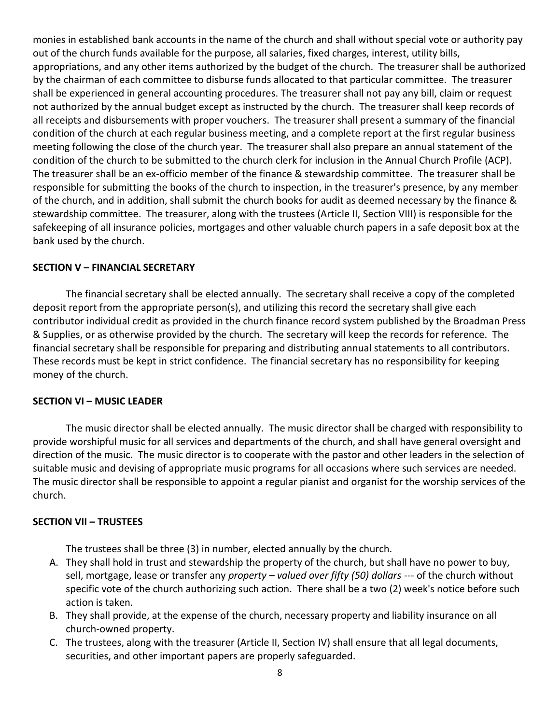monies in established bank accounts in the name of the church and shall without special vote or authority pay out of the church funds available for the purpose, all salaries, fixed charges, interest, utility bills, appropriations, and any other items authorized by the budget of the church. The treasurer shall be authorized by the chairman of each committee to disburse funds allocated to that particular committee. The treasurer shall be experienced in general accounting procedures. The treasurer shall not pay any bill, claim or request not authorized by the annual budget except as instructed by the church. The treasurer shall keep records of all receipts and disbursements with proper vouchers. The treasurer shall present a summary of the financial condition of the church at each regular business meeting, and a complete report at the first regular business meeting following the close of the church year. The treasurer shall also prepare an annual statement of the condition of the church to be submitted to the church clerk for inclusion in the Annual Church Profile (ACP). The treasurer shall be an ex-officio member of the finance & stewardship committee. The treasurer shall be responsible for submitting the books of the church to inspection, in the treasurer's presence, by any member of the church, and in addition, shall submit the church books for audit as deemed necessary by the finance & stewardship committee. The treasurer, along with the trustees (Article II, Section VIII) is responsible for the safekeeping of all insurance policies, mortgages and other valuable church papers in a safe deposit box at the bank used by the church.

#### **SECTION V – FINANCIAL SECRETARY**

The financial secretary shall be elected annually. The secretary shall receive a copy of the completed deposit report from the appropriate person(s), and utilizing this record the secretary shall give each contributor individual credit as provided in the church finance record system published by the Broadman Press & Supplies, or as otherwise provided by the church. The secretary will keep the records for reference. The financial secretary shall be responsible for preparing and distributing annual statements to all contributors. These records must be kept in strict confidence. The financial secretary has no responsibility for keeping money of the church.

# **SECTION VI – MUSIC LEADER**

The music director shall be elected annually. The music director shall be charged with responsibility to provide worshipful music for all services and departments of the church, and shall have general oversight and direction of the music. The music director is to cooperate with the pastor and other leaders in the selection of suitable music and devising of appropriate music programs for all occasions where such services are needed. The music director shall be responsible to appoint a regular pianist and organist for the worship services of the church.

# **SECTION VII – TRUSTEES**

The trustees shall be three (3) in number, elected annually by the church.

- A. They shall hold in trust and stewardship the property of the church, but shall have no power to buy, sell, mortgage, lease or transfer any *property – valued over fifty (50) dollars* --- of the church without specific vote of the church authorizing such action. There shall be a two (2) week's notice before such action is taken.
- B. They shall provide, at the expense of the church, necessary property and liability insurance on all church-owned property.
- C. The trustees, along with the treasurer (Article II, Section IV) shall ensure that all legal documents, securities, and other important papers are properly safeguarded.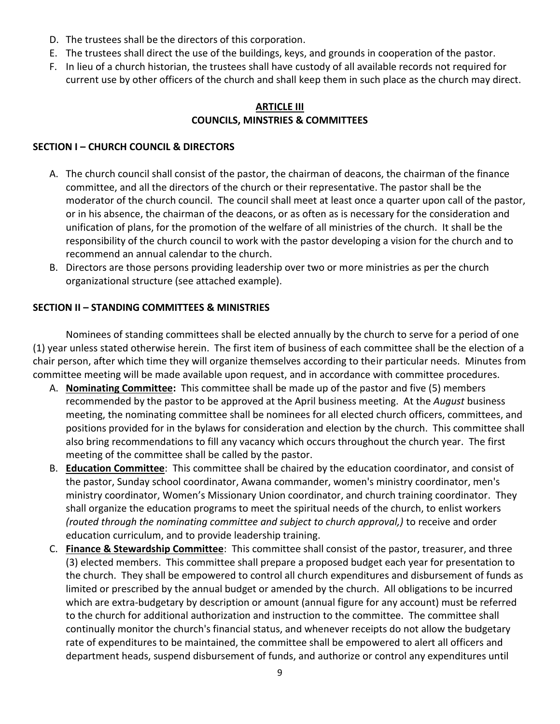- D. The trustees shall be the directors of this corporation.
- E. The trustees shall direct the use of the buildings, keys, and grounds in cooperation of the pastor.
- F. In lieu of a church historian, the trustees shall have custody of all available records not required for current use by other officers of the church and shall keep them in such place as the church may direct.

# **ARTICLE III COUNCILS, MINSTRIES & COMMITTEES**

# **SECTION I – CHURCH COUNCIL & DIRECTORS**

- A. The church council shall consist of the pastor, the chairman of deacons, the chairman of the finance committee, and all the directors of the church or their representative. The pastor shall be the moderator of the church council. The council shall meet at least once a quarter upon call of the pastor, or in his absence, the chairman of the deacons, or as often as is necessary for the consideration and unification of plans, for the promotion of the welfare of all ministries of the church. It shall be the responsibility of the church council to work with the pastor developing a vision for the church and to recommend an annual calendar to the church.
- B. Directors are those persons providing leadership over two or more ministries as per the church organizational structure (see attached example).

# **SECTION II – STANDING COMMITTEES & MINISTRIES**

Nominees of standing committees shall be elected annually by the church to serve for a period of one (1) year unless stated otherwise herein. The first item of business of each committee shall be the election of a chair person, after which time they will organize themselves according to their particular needs. Minutes from committee meeting will be made available upon request, and in accordance with committee procedures.

- A. **Nominating Committee:** This committee shall be made up of the pastor and five (5) members recommended by the pastor to be approved at the April business meeting. At the *August* business meeting, the nominating committee shall be nominees for all elected church officers, committees, and positions provided for in the bylaws for consideration and election by the church. This committee shall also bring recommendations to fill any vacancy which occurs throughout the church year. The first meeting of the committee shall be called by the pastor.
- B. **Education Committee**: This committee shall be chaired by the education coordinator, and consist of the pastor, Sunday school coordinator, Awana commander, women's ministry coordinator, men's ministry coordinator, Women's Missionary Union coordinator, and church training coordinator. They shall organize the education programs to meet the spiritual needs of the church, to enlist workers *(routed through the nominating committee and subject to church approval,)* to receive and order education curriculum, and to provide leadership training.
- C. **Finance & Stewardship Committee**: This committee shall consist of the pastor, treasurer, and three (3) elected members. This committee shall prepare a proposed budget each year for presentation to the church. They shall be empowered to control all church expenditures and disbursement of funds as limited or prescribed by the annual budget or amended by the church. All obligations to be incurred which are extra-budgetary by description or amount (annual figure for any account) must be referred to the church for additional authorization and instruction to the committee. The committee shall continually monitor the church's financial status, and whenever receipts do not allow the budgetary rate of expenditures to be maintained, the committee shall be empowered to alert all officers and department heads, suspend disbursement of funds, and authorize or control any expenditures until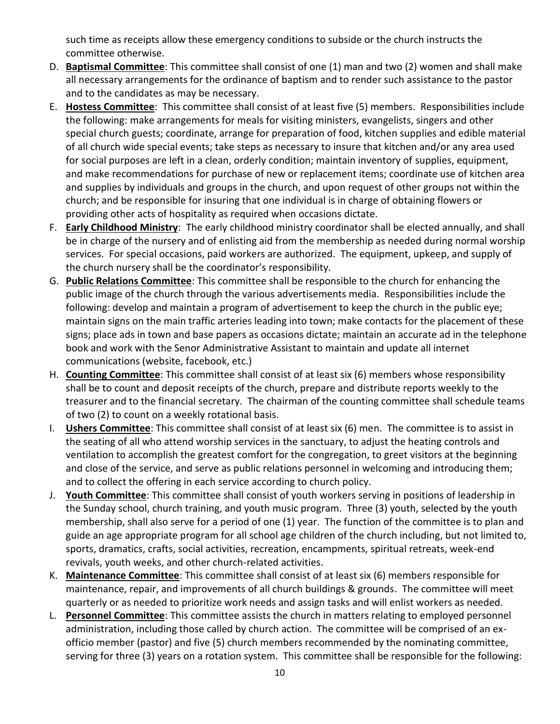such time as receipts allow these emergency conditions to subside or the church instructs the committee otherwise.

- D. **Baptismal Committee**: This committee shall consist of one (1) man and two (2) women and shall make all necessary arrangements for the ordinance of baptism and to render such assistance to the pastor and to the candidates as may be necessary.
- E. **Hostess Committee**: This committee shall consist of at least five (5) members. Responsibilities include the following: make arrangements for meals for visiting ministers, evangelists, singers and other special church guests; coordinate, arrange for preparation of food, kitchen supplies and edible material of all church wide special events; take steps as necessary to insure that kitchen and/or any area used for social purposes are left in a clean, orderly condition; maintain inventory of supplies, equipment, and make recommendations for purchase of new or replacement items; coordinate use of kitchen area and supplies by individuals and groups in the church, and upon request of other groups not within the church; and be responsible for insuring that one individual is in charge of obtaining flowers or providing other acts of hospitality as required when occasions dictate.
- F. **Early Childhood Ministry**: The early childhood ministry coordinator shall be elected annually, and shall be in charge of the nursery and of enlisting aid from the membership as needed during normal worship services. For special occasions, paid workers are authorized. The equipment, upkeep, and supply of the church nursery shall be the coordinator's responsibility.
- G. **Public Relations Committee**: This committee shall be responsible to the church for enhancing the public image of the church through the various advertisements media. Responsibilities include the following: develop and maintain a program of advertisement to keep the church in the public eye; maintain signs on the main traffic arteries leading into town; make contacts for the placement of these signs; place ads in town and base papers as occasions dictate; maintain an accurate ad in the telephone book and work with the Senor Administrative Assistant to maintain and update all internet communications (website, facebook, etc.)
- H. **Counting Committee**: This committee shall consist of at least six (6) members whose responsibility shall be to count and deposit receipts of the church, prepare and distribute reports weekly to the treasurer and to the financial secretary. The chairman of the counting committee shall schedule teams of two (2) to count on a weekly rotational basis.
- I. **Ushers Committee**: This committee shall consist of at least six (6) men. The committee is to assist in the seating of all who attend worship services in the sanctuary, to adjust the heating controls and ventilation to accomplish the greatest comfort for the congregation, to greet visitors at the beginning and close of the service, and serve as public relations personnel in welcoming and introducing them; and to collect the offering in each service according to church policy.
- J. **Youth Committee**: This committee shall consist of youth workers serving in positions of leadership in the Sunday school, church training, and youth music program. Three (3) youth, selected by the youth membership, shall also serve for a period of one (1) year. The function of the committee is to plan and guide an age appropriate program for all school age children of the church including, but not limited to, sports, dramatics, crafts, social activities, recreation, encampments, spiritual retreats, week-end revivals, youth weeks, and other church-related activities.
- K. **Maintenance Committee**: This committee shall consist of at least six (6) members responsible for maintenance, repair, and improvements of all church buildings & grounds. The committee will meet quarterly or as needed to prioritize work needs and assign tasks and will enlist workers as needed.
- L. **Personnel Committee**: This committee assists the church in matters relating to employed personnel administration, including those called by church action. The committee will be comprised of an exofficio member (pastor) and five (5) church members recommended by the nominating committee, serving for three (3) years on a rotation system. This committee shall be responsible for the following: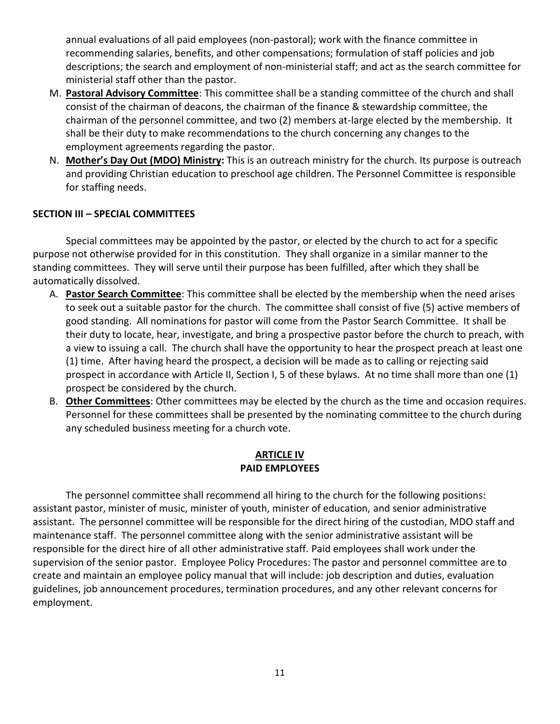annual evaluations of all paid employees (non-pastoral); work with the finance committee in recommending salaries, benefits, and other compensations; formulation of staff policies and job descriptions; the search and employment of non-ministerial staff; and act as the search committee for ministerial staff other than the pastor.

- M. **Pastoral Advisory Committee**: This committee shall be a standing committee of the church and shall consist of the chairman of deacons, the chairman of the finance & stewardship committee, the chairman of the personnel committee, and two (2) members at-large elected by the membership. It shall be their duty to make recommendations to the church concerning any changes to the employment agreements regarding the pastor.
- N. **Mother's Day Out (MDO) Ministry:** This is an outreach ministry for the church. Its purpose is outreach and providing Christian education to preschool age children. The Personnel Committee is responsible for staffing needs.

# **SECTION III – SPECIAL COMMITTEES**

Special committees may be appointed by the pastor, or elected by the church to act for a specific purpose not otherwise provided for in this constitution. They shall organize in a similar manner to the standing committees. They will serve until their purpose has been fulfilled, after which they shall be automatically dissolved.

- A. **Pastor Search Committee**: This committee shall be elected by the membership when the need arises to seek out a suitable pastor for the church. The committee shall consist of five (5) active members of good standing. All nominations for pastor will come from the Pastor Search Committee. It shall be their duty to locate, hear, investigate, and bring a prospective pastor before the church to preach, with a view to issuing a call. The church shall have the opportunity to hear the prospect preach at least one (1) time. After having heard the prospect, a decision will be made as to calling or rejecting said prospect in accordance with Article II, Section I, 5 of these bylaws. At no time shall more than one (1) prospect be considered by the church.
- B. **Other Committees**: Other committees may be elected by the church as the time and occasion requires. Personnel for these committees shall be presented by the nominating committee to the church during any scheduled business meeting for a church vote.

# **ARTICLE IV PAID EMPLOYEES**

The personnel committee shall recommend all hiring to the church for the following positions: assistant pastor, minister of music, minister of youth, minister of education, and senior administrative assistant. The personnel committee will be responsible for the direct hiring of the custodian, MDO staff and maintenance staff. The personnel committee along with the senior administrative assistant will be responsible for the direct hire of all other administrative staff. Paid employees shall work under the supervision of the senior pastor. Employee Policy Procedures: The pastor and personnel committee are to create and maintain an employee policy manual that will include: job description and duties, evaluation guidelines, job announcement procedures, termination procedures, and any other relevant concerns for employment.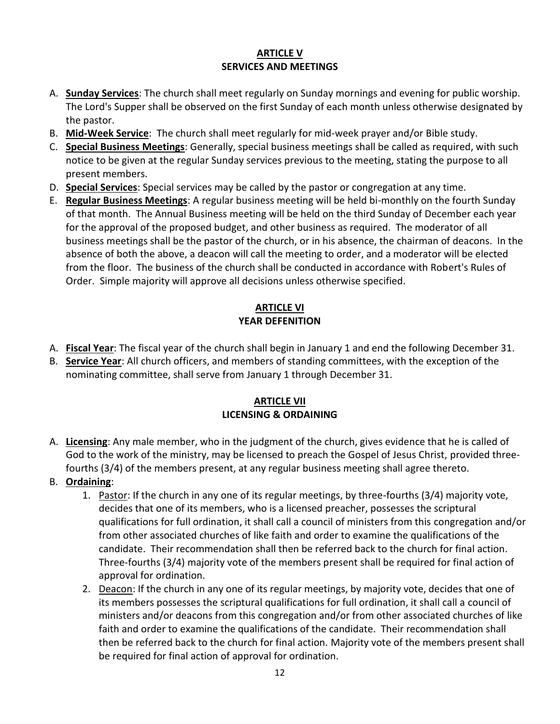# **ARTICLE V SERVICES AND MEETINGS**

- A. **Sunday Services**: The church shall meet regularly on Sunday mornings and evening for public worship. The Lord's Supper shall be observed on the first Sunday of each month unless otherwise designated by the pastor.
- B. **Mid-Week Service**: The church shall meet regularly for mid-week prayer and/or Bible study.
- C. **Special Business Meetings**: Generally, special business meetings shall be called as required, with such notice to be given at the regular Sunday services previous to the meeting, stating the purpose to all present members.
- D. **Special Services**: Special services may be called by the pastor or congregation at any time.
- E. **Regular Business Meetings**: A regular business meeting will be held bi-monthly on the fourth Sunday of that month. The Annual Business meeting will be held on the third Sunday of December each year for the approval of the proposed budget, and other business as required. The moderator of all business meetings shall be the pastor of the church, or in his absence, the chairman of deacons. In the absence of both the above, a deacon will call the meeting to order, and a moderator will be elected from the floor. The business of the church shall be conducted in accordance with Robert's Rules of Order. Simple majority will approve all decisions unless otherwise specified.

# **ARTICLE VI YEAR DEFENITION**

- A. **Fiscal Year**: The fiscal year of the church shall begin in January 1 and end the following December 31.
- B. **Service Year**: All church officers, and members of standing committees, with the exception of the nominating committee, shall serve from January 1 through December 31.

# **ARTICLE VII LICENSING & ORDAINING**

- A. **Licensing**: Any male member, who in the judgment of the church, gives evidence that he is called of God to the work of the ministry, may be licensed to preach the Gospel of Jesus Christ, provided threefourths (3/4) of the members present, at any regular business meeting shall agree thereto.
- B. **Ordaining**:
	- 1. Pastor: If the church in any one of its regular meetings, by three-fourths (3/4) majority vote, decides that one of its members, who is a licensed preacher, possesses the scriptural qualifications for full ordination, it shall call a council of ministers from this congregation and/or from other associated churches of like faith and order to examine the qualifications of the candidate. Their recommendation shall then be referred back to the church for final action. Three-fourths (3/4) majority vote of the members present shall be required for final action of approval for ordination.
	- 2. Deacon: If the church in any one of its regular meetings, by majority vote, decides that one of its members possesses the scriptural qualifications for full ordination, it shall call a council of ministers and/or deacons from this congregation and/or from other associated churches of like faith and order to examine the qualifications of the candidate. Their recommendation shall then be referred back to the church for final action. Majority vote of the members present shall be required for final action of approval for ordination.